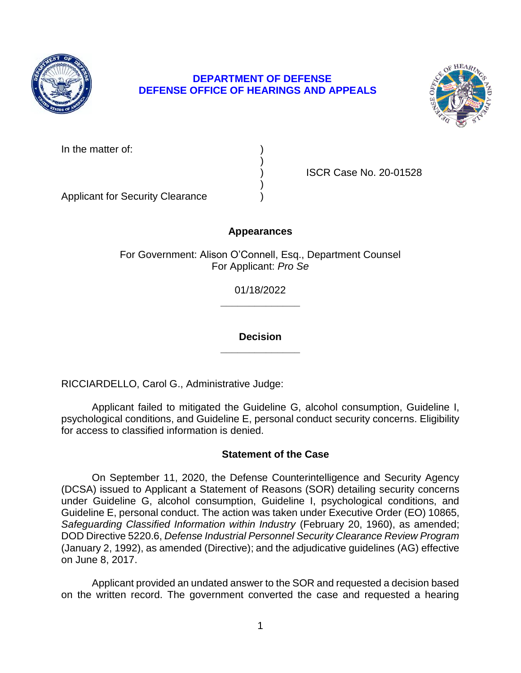

# **DEPARTMENT OF DEFENSE DEFENSE OFFICE OF HEARINGS AND APPEALS**



In the matter of:

) ISCR Case No. 20-01528

Applicant for Security Clearance )

# **Appearances**

)

)

For Government: Alison O'Connell, Esq., Department Counsel For Applicant: *Pro Se* 

> **\_\_\_\_\_\_\_\_\_\_\_\_\_\_**  01/18/2022

> **\_\_\_\_\_\_\_\_\_\_\_\_\_\_ Decision**

RICCIARDELLO, Carol G., Administrative Judge:

 Applicant failed to mitigated the Guideline G, alcohol consumption, Guideline I, psychological conditions, and Guideline E, personal conduct security concerns. Eligibility for access to classified information is denied.

# **Statement of the Case**

 On September 11, 2020, the Defense Counterintelligence and Security Agency (DCSA) issued to Applicant a Statement of Reasons (SOR) detailing security concerns under Guideline G, alcohol consumption, Guideline I, psychological conditions, and Guideline E, personal conduct. The action was taken under Executive Order (EO) 10865, Safeguarding Classified Information within Industry (February 20, 1960), as amended;  DOD Directive 5220.6, *Defense Industrial Personnel Security Clearance Review Program*  (January 2, 1992), as amended (Directive); and the adjudicative guidelines (AG) effective on June 8, 2017.

 Applicant provided an undated answer to the SOR and requested a decision based on the written record. The government converted the case and requested a hearing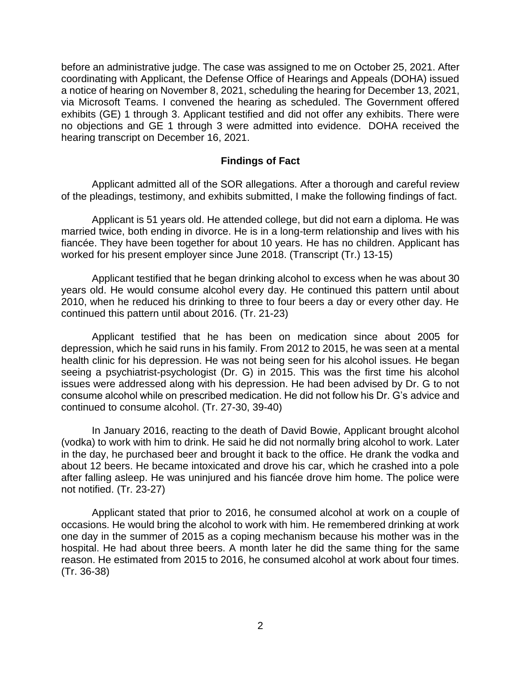before an administrative judge. The case was assigned to me on October 25, 2021. After a notice of hearing on November 8, 2021, scheduling the hearing for December 13, 2021, via Microsoft Teams. I convened the hearing as scheduled. The Government offered exhibits (GE) 1 through 3. Applicant testified and did not offer any exhibits. There were no objections and GE 1 through 3 were admitted into evidence. DOHA received the coordinating with Applicant, the Defense Office of Hearings and Appeals (DOHA) issued hearing transcript on December 16, 2021.

#### **Findings of Fact**

 Applicant admitted all of the SOR allegations. After a thorough and careful review of the pleadings, testimony, and exhibits submitted, I make the following findings of fact.

 Applicant is 51 years old. He attended college, but did not earn a diploma. He was married twice, both ending in divorce. He is in a long-term relationship and lives with his fiancée. They have been together for about 10 years. He has no children. Applicant has worked for his present employer since June 2018. (Transcript (Tr.) 13-15)

 Applicant testified that he began drinking alcohol to excess when he was about 30 years old. He would consume alcohol every day. He continued this pattern until about 2010, when he reduced his drinking to three to four beers a day or every other day. He continued this pattern until about 2016. (Tr. 21-23)

 Applicant testified that he has been on medication since about 2005 for depression, which he said runs in his family. From 2012 to 2015, he was seen at a mental health clinic for his depression. He was not being seen for his alcohol issues. He began seeing a psychiatrist-psychologist (Dr. G) in 2015. This was the first time his alcohol issues were addressed along with his depression. He had been advised by Dr. G to not consume alcohol while on prescribed medication. He did not follow his Dr. G's advice and continued to consume alcohol. (Tr. 27-30, 39-40)

 In January 2016, reacting to the death of David Bowie, Applicant brought alcohol (vodka) to work with him to drink. He said he did not normally bring alcohol to work. Later in the day, he purchased beer and brought it back to the office. He drank the vodka and about 12 beers. He became intoxicated and drove his car, which he crashed into a pole after falling asleep. He was uninjured and his fiancée drove him home. The police were not notified. (Tr. 23-27)

 Applicant stated that prior to 2016, he consumed alcohol at work on a couple of occasions. He would bring the alcohol to work with him. He remembered drinking at work one day in the summer of 2015 as a coping mechanism because his mother was in the hospital. He had about three beers. A month later he did the same thing for the same reason. He estimated from 2015 to 2016, he consumed alcohol at work about four times. (Tr. 36-38)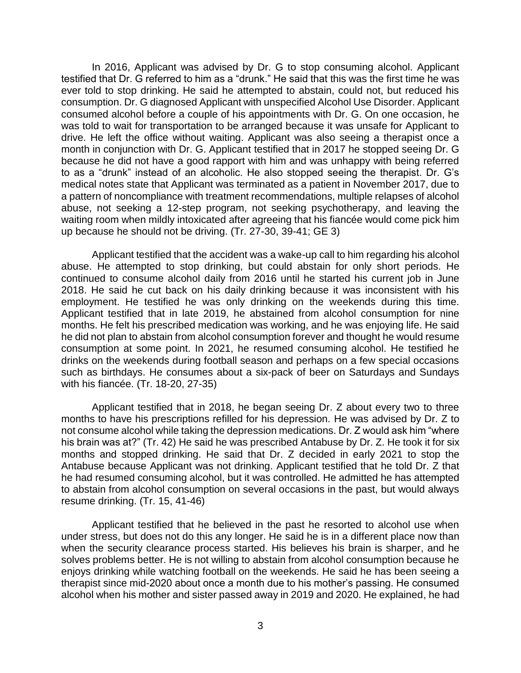In 2016, Applicant was advised by Dr. G to stop consuming alcohol. Applicant testified that Dr. G referred to him as a "drunk." He said that this was the first time he was ever told to stop drinking. He said he attempted to abstain, could not, but reduced his consumption. Dr. G diagnosed Applicant with unspecified Alcohol Use Disorder. Applicant consumed alcohol before a couple of his appointments with Dr. G. On one occasion, he was told to wait for transportation to be arranged because it was unsafe for Applicant to drive. He left the office without waiting. Applicant was also seeing a therapist once a month in conjunction with Dr. G. Applicant testified that in 2017 he stopped seeing Dr. G because he did not have a good rapport with him and was unhappy with being referred to as a "drunk" instead of an alcoholic. He also stopped seeing the therapist. Dr. G's medical notes state that Applicant was terminated as a patient in November 2017, due to a pattern of noncompliance with treatment recommendations, multiple relapses of alcohol abuse, not seeking a 12-step program, not seeking psychotherapy, and leaving the waiting room when mildly intoxicated after agreeing that his fiancée would come pick him up because he should not be driving. (Tr. 27-30, 39-41; GE 3)

 Applicant testified that the accident was a wake-up call to him regarding his alcohol abuse. He attempted to stop drinking, but could abstain for only short periods. He continued to consume alcohol daily from 2016 until he started his current job in June 2018. He said he cut back on his daily drinking because it was inconsistent with his employment. He testified he was only drinking on the weekends during this time. Applicant testified that in late 2019, he abstained from alcohol consumption for nine months. He felt his prescribed medication was working, and he was enjoying life. He said he did not plan to abstain from alcohol consumption forever and thought he would resume consumption at some point. In 2021, he resumed consuming alcohol. He testified he drinks on the weekends during football season and perhaps on a few special occasions such as birthdays. He consumes about a six-pack of beer on Saturdays and Sundays with his fiancée. (Tr. 18-20, 27-35)

 Applicant testified that in 2018, he began seeing Dr. Z about every two to three months to have his prescriptions refilled for his depression. He was advised by Dr. Z to not consume alcohol while taking the depression medications. Dr. Z would ask him "where months and stopped drinking. He said that Dr. Z decided in early 2021 to stop the Antabuse because Applicant was not drinking. Applicant testified that he told Dr. Z that he had resumed consuming alcohol, but it was controlled. He admitted he has attempted to abstain from alcohol consumption on several occasions in the past, but would always his brain was at?" (Tr. 42) He said he was prescribed Antabuse by Dr. Z. He took it for six resume drinking. (Tr. 15, 41-46)

 Applicant testified that he believed in the past he resorted to alcohol use when under stress, but does not do this any longer. He said he is in a different place now than when the security clearance process started. His believes his brain is sharper, and he solves problems better. He is not willing to abstain from alcohol consumption because he enjoys drinking while watching football on the weekends. He said he has been seeing a therapist since mid-2020 about once a month due to his mother's passing. He consumed alcohol when his mother and sister passed away in 2019 and 2020. He explained, he had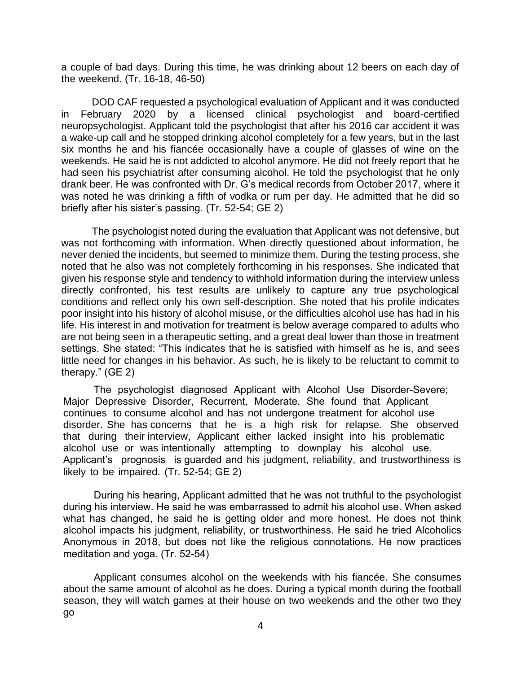a couple of bad days. During this time, he was drinking about 12 beers on each day of the weekend. (Tr. 16-18, 46-50)

 DOD CAF requested a psychological evaluation of Applicant and it was conducted in February 2020 by a licensed clinical psychologist and board-certified a wake-up call and he stopped drinking alcohol completely for a few years, but in the last six months he and his fiancée occasionally have a couple of glasses of wine on the weekends. He said he is not addicted to alcohol anymore. He did not freely report that he had seen his psychiatrist after consuming alcohol. He told the psychologist that he only drank beer. He was confronted with Dr. G's medical records from October 2017, where it was noted he was drinking a fifth of vodka or rum per day. He admitted that he did so neuropsychologist. Applicant told the psychologist that after his 2016 car accident it was briefly after his sister's passing. (Tr. 52-54; GE 2)

 The psychologist noted during the evaluation that Applicant was not defensive, but was not forthcoming with information. When directly questioned about information, he never denied the incidents, but seemed to minimize them. During the testing process, she noted that he also was not completely forthcoming in his responses. She indicated that given his response style and tendency to withhold information during the interview unless directly confronted, his test results are unlikely to capture any true psychological conditions and reflect only his own self-description. She noted that his profile indicates poor insight into his history of alcohol misuse, or the difficulties alcohol use has had in his life. His interest in and motivation for treatment is below average compared to adults who are not being seen in a therapeutic setting, and a great deal lower than those in treatment settings. She stated: "This indicates that he is satisfied with himself as he is, and sees little need for changes in his behavior. As such, he is likely to be reluctant to commit to therapy." (GE 2)

major Depressive Disorder, Recurrent, Moderate. She found that Applicant<br>continues to consume alcohol and has not undergone treatment for alcohol use disorder. She has concerns that he is a high risk for relapse. She observed that during their interview, Applicant either lacked insight into his problematic alcohol use or was intentionally attempting to downplay his alcohol use. Applicant's prognosis is guarded and his judgment, reliability, and trustworthiness is The psychologist diagnosed Applicant with Alcohol Use Disorder-Severe; Major Depressive Disorder, Recurrent, Moderate. She found that Applicant likely to be impaired. (Tr. 52-54; GE 2)

 during his interview. He said he was embarrassed to admit his alcohol use. When asked what has changed, he said he is getting older and more honest. He does not think alcohol impacts his judgment, reliability, or trustworthiness. He said he tried Alcoholics Anonymous in 2018, but does not like the religious connotations. He now practices During his hearing, Applicant admitted that he was not truthful to the psychologist meditation and yoga. (Tr. 52-54)

 Applicant consumes alcohol on the weekends with his fiancée. She consumes about the same amount of alcohol as he does. During a typical month during the football about the same amount of alcohol as he uses. Butting a typical month dailing the football<br>season, they will watch games at their house on two weekends and the other two they go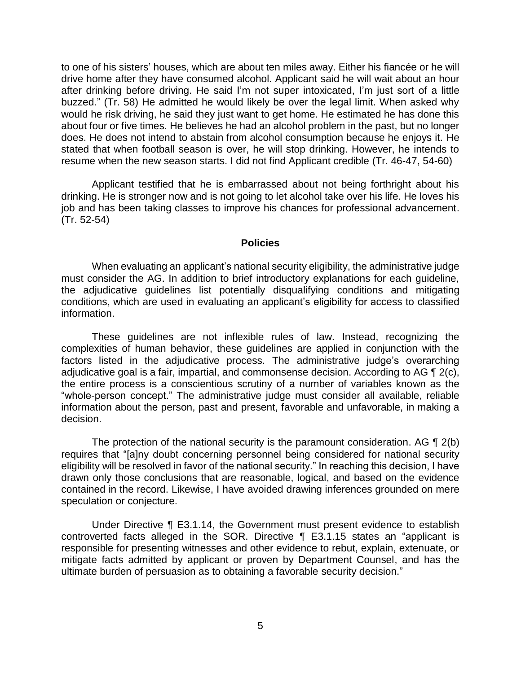to one of his sisters' houses, which are about ten miles away. Either his fiancée or he will drive home after they have consumed alcohol. Applicant said he will wait about an hour after drinking before driving. He said I'm not super intoxicated, I'm just sort of a little buzzed." (Tr. 58) He admitted he would likely be over the legal limit. When asked why would he risk driving, he said they just want to get home. He estimated he has done this about four or five times. He believes he had an alcohol problem in the past, but no longer does. He does not intend to abstain from alcohol consumption because he enjoys it. He stated that when football season is over, he will stop drinking. However, he intends to resume when the new season starts. I did not find Applicant credible (Tr. 46-47, 54-60)

 Applicant testified that he is embarrassed about not being forthright about his drinking. He is stronger now and is not going to let alcohol take over his life. He loves his job and has been taking classes to improve his chances for professional advancement. (Tr. 52-54)

#### **Policies**

 When evaluating an applicant's national security eligibility, the administrative judge must consider the AG. In addition to brief introductory explanations for each guideline, the adjudicative guidelines list potentially disqualifying conditions and mitigating conditions, which are used in evaluating an applicant's eligibility for access to classified information.

 These guidelines are not inflexible rules of law. Instead, recognizing the complexities of human behavior, these guidelines are applied in conjunction with the factors listed in the adjudicative process. The administrative judge's overarching adjudicative goal is a fair, impartial, and commonsense decision. According to AG  $\P$  2(c), the entire process is a conscientious scrutiny of a number of variables known as the "whole-person concept." The administrative judge must consider all available, reliable information about the person, past and present, favorable and unfavorable, in making a decision.

The protection of the national security is the paramount consideration. AG  $\P$  2(b) eligibility will be resolved in favor of the national security." In reaching this decision, I have drawn only those conclusions that are reasonable, logical, and based on the evidence contained in the record. Likewise, I have avoided drawing inferences grounded on mere requires that "[a]ny doubt concerning personnel being considered for national security speculation or conjecture.

 Under Directive ¶ E3.1.14, the Government must present evidence to establish controverted facts alleged in the SOR. Directive ¶ E3.1.15 states an "applicant is responsible for presenting witnesses and other evidence to rebut, explain, extenuate, or mitigate facts admitted by applicant or proven by Department Counsel, and has the ultimate burden of persuasion as to obtaining a favorable security decision."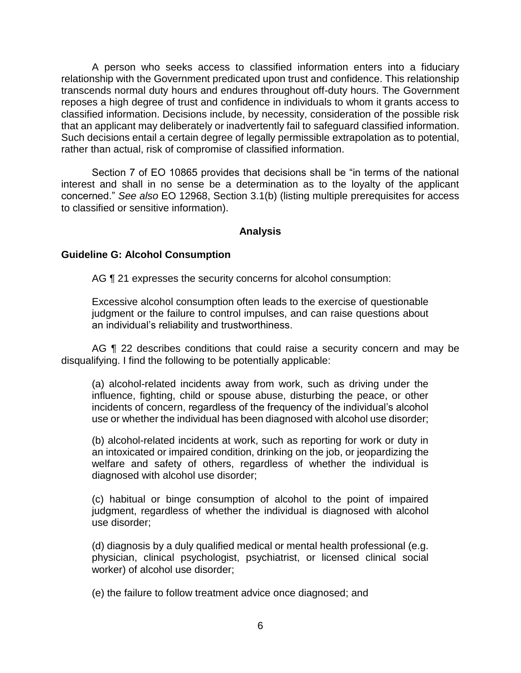A person who seeks access to classified information enters into a fiduciary relationship with the Government predicated upon trust and confidence. This relationship transcends normal duty hours and endures throughout off-duty hours. The Government reposes a high degree of trust and confidence in individuals to whom it grants access to classified information. Decisions include, by necessity, consideration of the possible risk that an applicant may deliberately or inadvertently fail to safeguard classified information. Such decisions entail a certain degree of legally permissible extrapolation as to potential, rather than actual, risk of compromise of classified information.

 Section 7 of EO 10865 provides that decisions shall be "in terms of the national interest and shall in no sense be a determination as to the loyalty of the applicant concerned." *See also* EO 12968, Section 3.1(b) (listing multiple prerequisites for access to classified or sensitive information).

#### **Analysis**

#### **Guideline G: Alcohol Consumption**

AG  $\P$  21 expresses the security concerns for alcohol consumption:

Excessive alcohol consumption often leads to the exercise of questionable judgment or the failure to control impulses, and can raise questions about an individual's reliability and trustworthiness.

AG ¶ 22 describes conditions that could raise a security concern and may be disqualifying. I find the following to be potentially applicable:

 (a) alcohol-related incidents away from work, such as driving under the influence, fighting, child or spouse abuse, disturbing the peace, or other use or whether the individual has been diagnosed with alcohol use disorder; incidents of concern, regardless of the frequency of the individual's alcohol

 (b) alcohol-related incidents at work, such as reporting for work or duty in an intoxicated or impaired condition, drinking on the job, or jeopardizing the welfare and safety of others, regardless of whether the individual is diagnosed with alcohol use disorder;

 (c) habitual or binge consumption of alcohol to the point of impaired judgment, regardless of whether the individual is diagnosed with alcohol use disorder;

 (d) diagnosis by a duly qualified medical or mental health professional (e.g. physician, clinical psychologist, psychiatrist, or licensed clinical social worker) of alcohol use disorder;

(e) the failure to follow treatment advice once diagnosed; and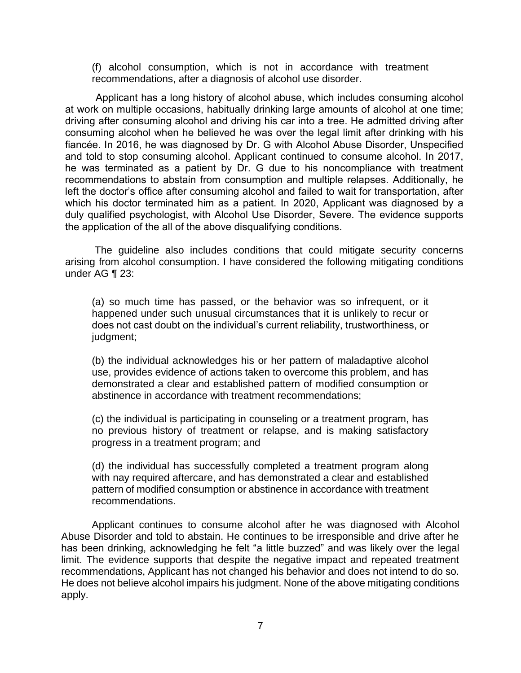(f) alcohol consumption, which is not in accordance with treatment recommendations, after a diagnosis of alcohol use disorder.

 Applicant has a long history of alcohol abuse, which includes consuming alcohol y driving after consuming alcohol and driving his car into a tree. He admitted driving after consuming alcohol when he believed he was over the legal limit after drinking with his fiancée. In 2016, he was diagnosed by Dr. G with Alcohol Abuse Disorder, Unspecified and told to stop consuming alcohol. Applicant continued to consume alcohol. In 2017, he was terminated as a patient by Dr. G due to his noncompliance with treatment recommendations to abstain from consumption and multiple relapses. Additionally, he left the doctor's office after consuming alcohol and failed to wait for transportation, after which his doctor terminated him as a patient. In 2020, Applicant was diagnosed by a duly qualified psychologist, with Alcohol Use Disorder, Severe. The evidence supports the application of the all of the above disqualifying conditions. at work on multiple occasions, habitually drinking large amounts of alcohol at one time;

 The guideline also includes conditions that could mitigate security concerns arising from alcohol consumption. I have considered the following mitigating conditions under AG ¶ 23:

(a) so much time has passed, or the behavior was so infrequent, or it happened under such unusual circumstances that it is unlikely to recur or does not cast doubt on the individual's current reliability, trustworthiness, or judgment;

(b) the individual acknowledges his or her pattern of maladaptive alcohol use, provides evidence of actions taken to overcome this problem, and has demonstrated a clear and established pattern of modified consumption or abstinence in accordance with treatment recommendations;

(c) the individual is participating in counseling or a treatment program, has no previous history of treatment or relapse, and is making satisfactory progress in a treatment program; and

(d) the individual has successfully completed a treatment program along with nay required aftercare, and has demonstrated a clear and established pattern of modified consumption or abstinence in accordance with treatment recommendations.

 Applicant continues to consume alcohol after he was diagnosed with Alcohol Abuse Disorder and told to abstain. He continues to be irresponsible and drive after he has been drinking, acknowledging he felt "a little buzzed" and was likely over the legal limit. The evidence supports that despite the negative impact and repeated treatment recommendations, Applicant has not changed his behavior and does not intend to do so. He does not believe alcohol impairs his judgment. None of the above mitigating conditions apply.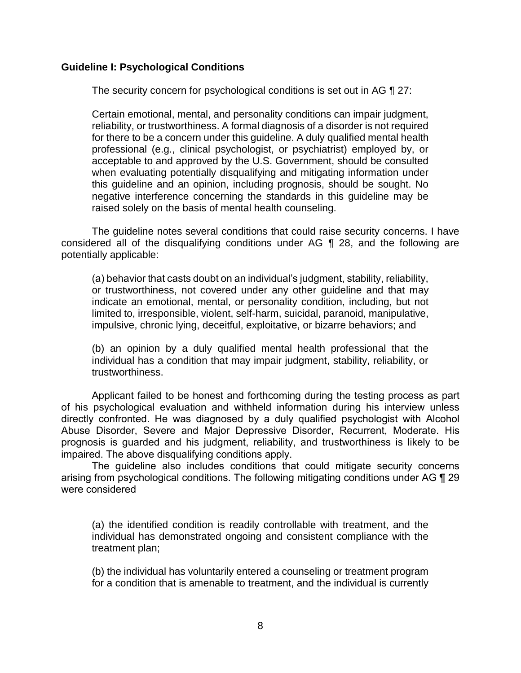#### **Guideline I: Psychological Conditions**

The security concern for psychological conditions is set out in AG ¶ 27:

Certain emotional, mental, and personality conditions can impair judgment, reliability, or trustworthiness. A formal diagnosis of a disorder is not required for there to be a concern under this guideline. A duly qualified mental health professional (e.g., clinical psychologist, or psychiatrist) employed by, or acceptable to and approved by the U.S. Government, should be consulted when evaluating potentially disqualifying and mitigating information under this guideline and an opinion, including prognosis, should be sought. No negative interference concerning the standards in this guideline may be raised solely on the basis of mental health counseling.

 The guideline notes several conditions that could raise security concerns. I have considered all of the disqualifying conditions under AG ¶ 28, and the following are potentially applicable:

(a) behavior that casts doubt on an individual's judgment, stability, reliability, or trustworthiness, not covered under any other guideline and that may indicate an emotional, mental, or personality condition, including, but not limited to, irresponsible, violent, self-harm, suicidal, paranoid, manipulative, impulsive, chronic lying, deceitful, exploitative, or bizarre behaviors; and

 (b) an opinion by a duly qualified mental health professional that the individual has a condition that may impair judgment, stability, reliability, or trustworthiness.

 Applicant failed to be honest and forthcoming during the testing process as part directly confronted. He was diagnosed by a duly qualified psychologist with Alcohol prognosis is guarded and his judgment, reliability, and trustworthiness is likely to be of his psychological evaluation and withheld information during his interview unless Abuse Disorder, Severe and Major Depressive Disorder, Recurrent, Moderate. His impaired. The above disqualifying conditions apply.

The guideline also includes conditions that could mitigate security concerns arising from psychological conditions. The following mitigating conditions under AG ¶ 29 were considered

 (a) the identified condition is readily controllable with treatment, and the individual has demonstrated ongoing and consistent compliance with the treatment plan;

 (b) the individual has voluntarily entered a counseling or treatment program for a condition that is amenable to treatment, and the individual is currently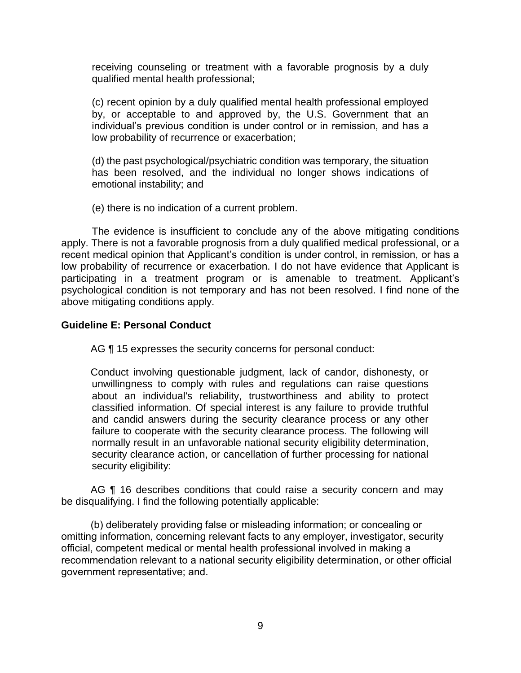receiving counseling or treatment with a favorable prognosis by a duly qualified mental health professional;

(c) recent opinion by a duly qualified mental health professional employed by, or acceptable to and approved by, the U.S. Government that an individual's previous condition is under control or in remission, and has a low probability of recurrence or exacerbation;

(d) the past psychological/psychiatric condition was temporary, the situation has been resolved, and the individual no longer shows indications of emotional instability; and

(e) there is no indication of a current problem.

The evidence is insufficient to conclude any of the above mitigating conditions apply. There is not a favorable prognosis from a duly qualified medical professional, or a recent medical opinion that Applicant's condition is under control, in remission, or has a low probability of recurrence or exacerbation. I do not have evidence that Applicant is participating in a treatment program or is amenable to treatment. Applicant's psychological condition is not temporary and has not been resolved. I find none of the above mitigating conditions apply.

#### **Guideline E: Personal Conduct**

AG ¶ 15 expresses the security concerns for personal conduct:

Conduct involving questionable judgment, lack of candor, dishonesty, or unwillingness to comply with rules and regulations can raise questions about an individual's reliability, trustworthiness and ability to protect classified information. Of special interest is any failure to provide truthful and candid answers during the security clearance process or any other failure to cooperate with the security clearance process. The following will normally result in an unfavorable national security eligibility determination, security clearance action, or cancellation of further processing for national security eligibility:

AG ¶ 16 describes conditions that could raise a security concern and may be disqualifying. I find the following potentially applicable:

(b) deliberately providing false or misleading information; or concealing or omitting information, concerning relevant facts to any employer, investigator, security official, competent medical or mental health professional involved in making a recommendation relevant to a national security eligibility determination, or other official government representative; and.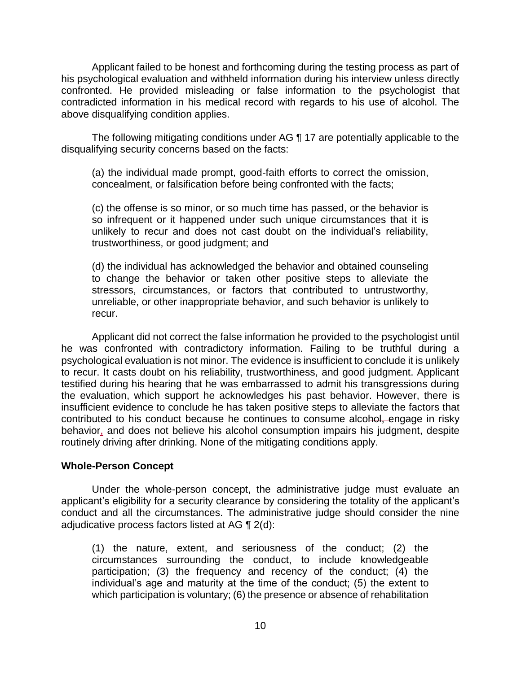Applicant failed to be honest and forthcoming during the testing process as part of confronted. He provided misleading or false information to the psychologist that contradicted information in his medical record with regards to his use of alcohol. The his psychological evaluation and withheld information during his interview unless directly above disqualifying condition applies.

 The following mitigating conditions under AG ¶ 17 are potentially applicable to the disqualifying security concerns based on the facts:

(a) the individual made prompt, good-faith efforts to correct the omission, concealment, or falsification before being confronted with the facts;

(c) the offense is so minor, or so much time has passed, or the behavior is so infrequent or it happened under such unique circumstances that it is unlikely to recur and does not cast doubt on the individual's reliability, trustworthiness, or good judgment; and

(d) the individual has acknowledged the behavior and obtained counseling to change the behavior or taken other positive steps to alleviate the stressors, circumstances, or factors that contributed to untrustworthy, unreliable, or other inappropriate behavior, and such behavior is unlikely to recur.

 Applicant did not correct the false information he provided to the psychologist until he was confronted with contradictory information. Failing to be truthful during a psychological evaluation is not minor. The evidence is insufficient to conclude it is unlikely to recur. It casts doubt on his reliability, trustworthiness, and good judgment. Applicant testified during his hearing that he was embarrassed to admit his transgressions during the evaluation, which support he acknowledges his past behavior. However, there is insufficient evidence to conclude he has taken positive steps to alleviate the factors that contributed to his conduct because he continues to consume alcohol, engage in risky behavior, and does not believe his alcohol consumption impairs his judgment, despite routinely driving after drinking. None of the mitigating conditions apply.

### **Whole-Person Concept**

Under the whole-person concept, the administrative judge must evaluate an applicant's eligibility for a security clearance by considering the totality of the applicant's conduct and all the circumstances. The administrative judge should consider the nine adjudicative process factors listed at AG ¶ 2(d):

 (1) the nature, extent, and seriousness of the conduct; (2) the circumstances surrounding the conduct, to include knowledgeable participation; (3) the frequency and recency of the conduct; (4) the individual's age and maturity at the time of the conduct; (5) the extent to which participation is voluntary; (6) the presence or absence of rehabilitation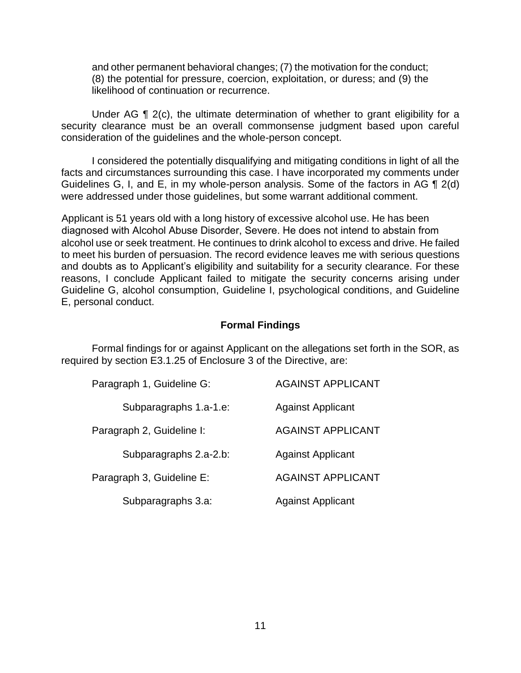and other permanent behavioral changes; (7) the motivation for the conduct; (8) the potential for pressure, coercion, exploitation, or duress; and (9) the likelihood of continuation or recurrence.

Under AG ¶ 2(c), the ultimate determination of whether to grant eligibility for a security clearance must be an overall commonsense judgment based upon careful consideration of the guidelines and the whole-person concept.

 I considered the potentially disqualifying and mitigating conditions in light of all the Guidelines G, I, and E, in my whole-person analysis. Some of the factors in AG  $\P$  2(d) facts and circumstances surrounding this case. I have incorporated my comments under were addressed under those guidelines, but some warrant additional comment.

Applicant is 51 years old with a long history of excessive alcohol use. He has been diagnosed with Alcohol Abuse Disorder, Severe. He does not intend to abstain from alcohol use or seek treatment. He continues to drink alcohol to excess and drive. He failed to meet his burden of persuasion. The record evidence leaves me with serious questions and doubts as to Applicant's eligibility and suitability for a security clearance. For these reasons, I conclude Applicant failed to mitigate the security concerns arising under Guideline G, alcohol consumption, Guideline I, psychological conditions, and Guideline E, personal conduct.

### **Formal Findings**

 Formal findings for or against Applicant on the allegations set forth in the SOR, as required by section E3.1.25 of Enclosure 3 of the Directive, are:

| Paragraph 1, Guideline G: | <b>AGAINST APPLICANT</b> |
|---------------------------|--------------------------|
| Subparagraphs 1.a-1.e:    | <b>Against Applicant</b> |
| Paragraph 2, Guideline I: | <b>AGAINST APPLICANT</b> |
| Subparagraphs 2.a-2.b:    | <b>Against Applicant</b> |
| Paragraph 3, Guideline E: | <b>AGAINST APPLICANT</b> |
| Subparagraphs 3.a:        | <b>Against Applicant</b> |